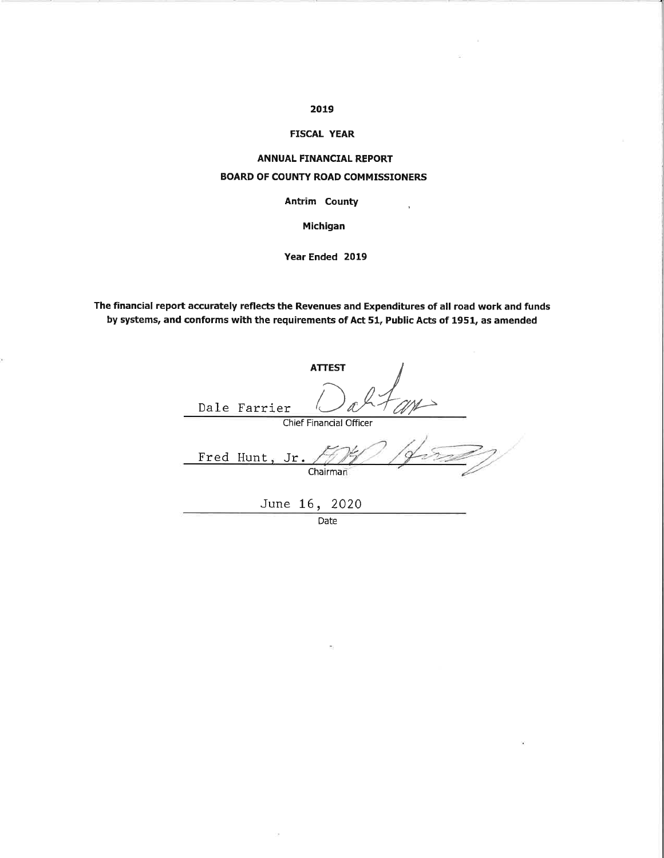### 2019

### **FISCAL YEAR**

# **ANNUAL FINANCIAL REPORT BOARD OF COUNTY ROAD COMMISSIONERS**

### **Antrim County**

 $\bar{\mathbf{r}}$ 

 $\ddot{\bullet}$ 

Michigan

Year Ended 2019

The financial report accurately reflects the Revenues and Expenditures of all road work and funds by systems, and conforms with the requirements of Act 51, Public Acts of 1951, as amended

| <b>ATTEST</b>                  |
|--------------------------------|
| Dale Farrier                   |
| <b>Chief Financial Officer</b> |
| Fred Hunt, Jr.<br>Chairman     |
| June 16, 2020                  |

Date

o.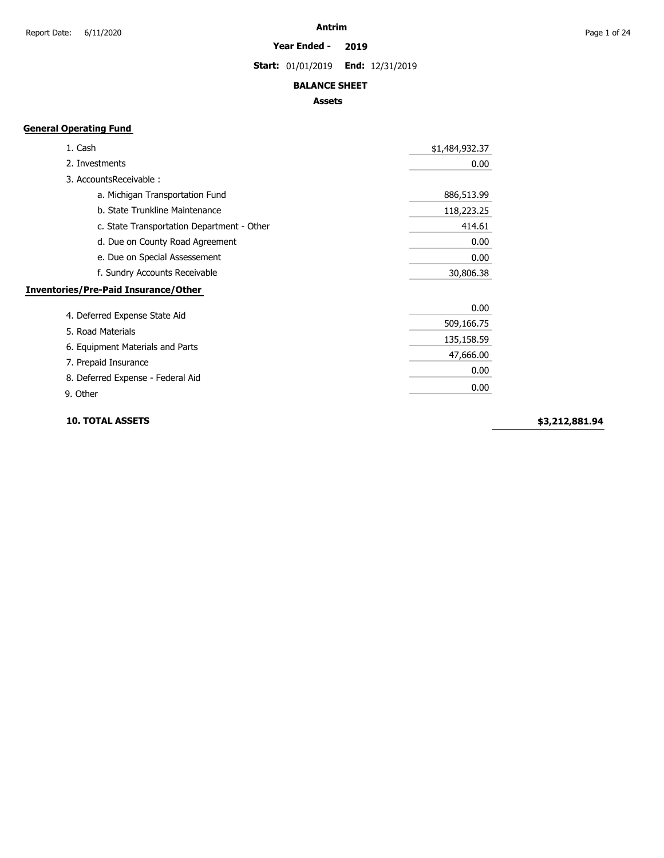#### **Year Ended - 2019**

**Start:** 01/01/2019 **End:** 12/31/2019

### **BALANCE SHEET**

### **Assets**

### **General Operating Fund**

| 1. Cash                                     | \$1,484,932.37 |
|---------------------------------------------|----------------|
| 2. Investments                              | 0.00           |
| 3. AccountsReceivable:                      |                |
| a. Michigan Transportation Fund             | 886,513.99     |
| b. State Trunkline Maintenance              | 118,223.25     |
| c. State Transportation Department - Other  | 414.61         |
| d. Due on County Road Agreement             | 0.00           |
| e. Due on Special Assessement               | 0.00           |
| f. Sundry Accounts Receivable               | 30,806.38      |
| <b>Inventories/Pre-Paid Insurance/Other</b> |                |
|                                             | 0.00           |
| 4. Deferred Expense State Aid               | 509,166.75     |
| 5. Road Materials                           | 135,158.59     |
| 6. Equipment Materials and Parts            | 47,666.00      |
| 7. Prepaid Insurance                        |                |
| 8. Deferred Expense - Federal Aid           | 0.00           |
| 9. Other                                    | 0.00           |

**10. TOTAL ASSETS**

**\$3,212,881.94**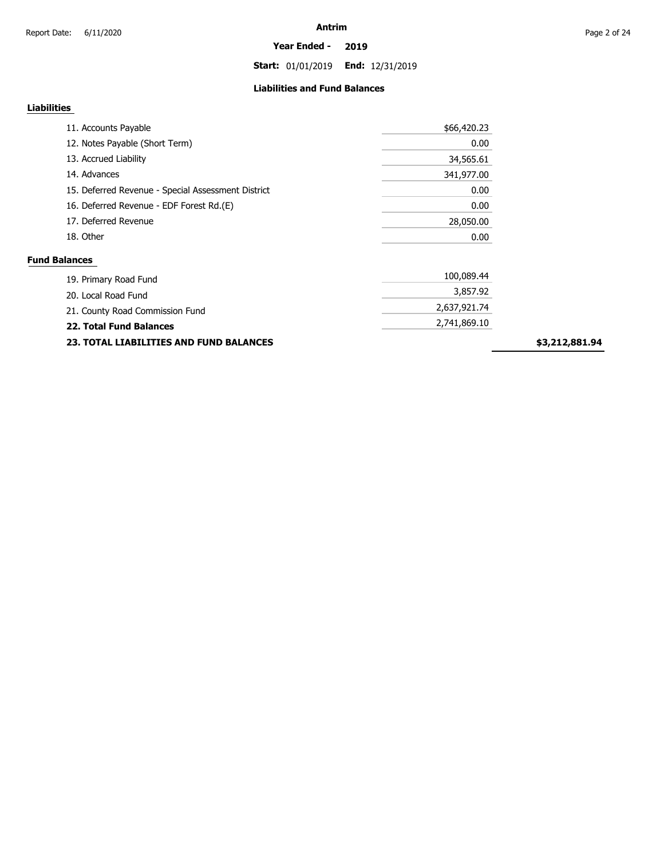**Start:** 01/01/2019 **End:** 12/31/2019

### **Liabilities and Fund Balances**

## **Liabilities**

| 11. Accounts Payable                               | \$66,420.23  |
|----------------------------------------------------|--------------|
| 12. Notes Payable (Short Term)                     | 0.00         |
| 13. Accrued Liability                              | 34,565.61    |
| 14. Advances                                       | 341,977.00   |
| 15. Deferred Revenue - Special Assessment District | 0.00         |
| 16. Deferred Revenue - EDF Forest Rd.(E)           | 0.00         |
| 17. Deferred Revenue                               | 28,050.00    |
| 18. Other                                          | 0.00         |
| <b>Fund Balances</b>                               |              |
| 19. Primary Road Fund                              | 100,089.44   |
| 20. Local Road Fund                                | 3,857.92     |
| 21 County Road Commission Fund                     | 2,637,921.74 |

| 21. County Road Commission Fund                | 2,637,921.74 |
|------------------------------------------------|--------------|
| 22. Total Fund Balances                        | 2,741,869.10 |
| <b>23. TOTAL LIABILITIES AND FUND BALANCES</b> |              |
|                                                |              |

**\$3,212,881.94**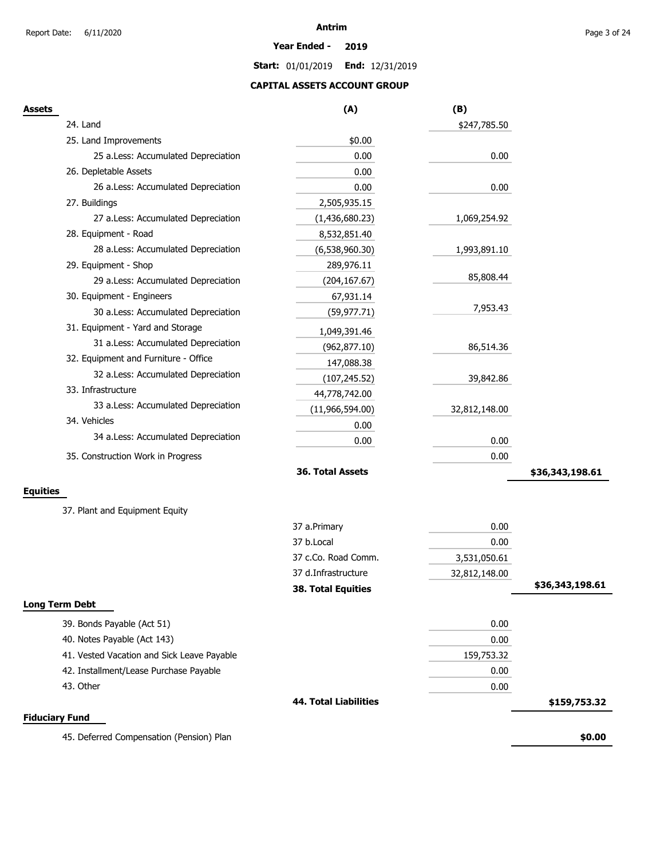**Year Ended - 2019**

**Start:** 01/01/2019 **End:** 12/31/2019

### **CAPITAL ASSETS ACCOUNT GROUP**

| <b>Assets</b>                              | (A)                          | (B)           |                 |
|--------------------------------------------|------------------------------|---------------|-----------------|
| 24. Land                                   |                              | \$247,785.50  |                 |
| 25. Land Improvements                      | \$0.00                       |               |                 |
| 25 a.Less: Accumulated Depreciation        | 0.00                         | 0.00          |                 |
| 26. Depletable Assets                      | 0.00                         |               |                 |
| 26 a.Less: Accumulated Depreciation        | 0.00                         | 0.00          |                 |
| 27. Buildings                              | 2,505,935.15                 |               |                 |
| 27 a.Less: Accumulated Depreciation        | (1,436,680.23)               | 1,069,254.92  |                 |
| 28. Equipment - Road                       | 8,532,851.40                 |               |                 |
| 28 a.Less: Accumulated Depreciation        | (6,538,960.30)               | 1,993,891.10  |                 |
| 29. Equipment - Shop                       | 289,976.11                   |               |                 |
| 29 a.Less: Accumulated Depreciation        | (204, 167.67)                | 85,808.44     |                 |
| 30. Equipment - Engineers                  | 67,931.14                    |               |                 |
| 30 a.Less: Accumulated Depreciation        | (59, 977.71)                 | 7,953.43      |                 |
| 31. Equipment - Yard and Storage           | 1,049,391.46                 |               |                 |
| 31 a.Less: Accumulated Depreciation        | (962, 877.10)                | 86,514.36     |                 |
| 32. Equipment and Furniture - Office       | 147,088.38                   |               |                 |
| 32 a.Less: Accumulated Depreciation        | (107, 245.52)                | 39,842.86     |                 |
| 33. Infrastructure                         | 44,778,742.00                |               |                 |
| 33 a.Less: Accumulated Depreciation        | (11,966,594.00)              | 32,812,148.00 |                 |
| 34. Vehicles                               | 0.00                         |               |                 |
| 34 a.Less: Accumulated Depreciation        | 0.00                         | 0.00          |                 |
| 35. Construction Work in Progress          |                              | 0.00          |                 |
|                                            | 36. Total Assets             |               | \$36,343,198.61 |
| <b>Equities</b>                            |                              |               |                 |
|                                            |                              |               |                 |
| 37. Plant and Equipment Equity             |                              |               |                 |
|                                            | 37 a.Primary                 | 0.00          |                 |
|                                            | 37 b.Local                   | 0.00          |                 |
|                                            | 37 c.Co. Road Comm.          | 3,531,050.61  |                 |
|                                            | 37 d.Infrastructure          | 32,812,148.00 |                 |
|                                            | <b>38. Total Equities</b>    |               | \$36,343,198.61 |
| <b>Long Term Debt</b>                      |                              |               |                 |
| 39. Bonds Payable (Act 51)                 |                              | 0.00          |                 |
| 40. Notes Payable (Act 143)                |                              | 0.00          |                 |
| 41. Vested Vacation and Sick Leave Payable |                              | 159,753.32    |                 |
| 42. Installment/Lease Purchase Payable     |                              | 0.00          |                 |
| 43. Other                                  |                              | 0.00          |                 |
|                                            | <b>44. Total Liabilities</b> |               | \$159,753.32    |
| <b>Fiduciary Fund</b>                      |                              |               |                 |
| 45. Deferred Compensation (Pension) Plan   |                              |               | \$0.00          |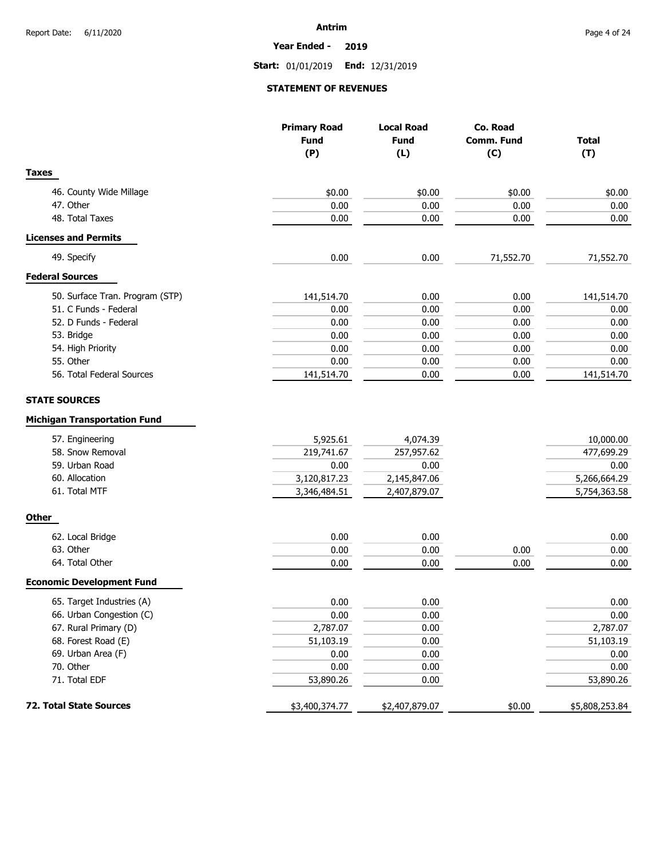**Year Ended - 2019**

**Start:** 01/01/2019 **End:** 12/31/2019

### **STATEMENT OF REVENUES**

|                                     | <b>Primary Road</b><br><b>Fund</b> | <b>Local Road</b><br><b>Fund</b> | Co. Road   | <b>Total</b>   |
|-------------------------------------|------------------------------------|----------------------------------|------------|----------------|
|                                     |                                    |                                  | Comm. Fund |                |
|                                     | (P)                                | (L)                              | (C)        | (T)            |
| <b>Taxes</b>                        |                                    |                                  |            |                |
| 46. County Wide Millage             | \$0.00                             | \$0.00                           | \$0.00     | \$0.00         |
| 47. Other                           | 0.00                               | 0.00                             | 0.00       | 0.00           |
| 48. Total Taxes                     | 0.00                               | 0.00                             | 0.00       | 0.00           |
| <b>Licenses and Permits</b>         |                                    |                                  |            |                |
| 49. Specify                         | 0.00                               | 0.00                             | 71,552.70  | 71,552.70      |
| <b>Federal Sources</b>              |                                    |                                  |            |                |
| 50. Surface Tran. Program (STP)     | 141,514.70                         | 0.00                             | 0.00       | 141,514.70     |
| 51. C Funds - Federal               | 0.00                               | 0.00                             | 0.00       | 0.00           |
| 52. D Funds - Federal               | 0.00                               | 0.00                             | 0.00       | 0.00           |
| 53. Bridge                          | 0.00                               | 0.00                             | 0.00       | 0.00           |
| 54. High Priority                   | 0.00                               | 0.00                             | 0.00       | 0.00           |
| 55. Other                           | 0.00                               | 0.00                             | 0.00       | 0.00           |
| 56. Total Federal Sources           | 141,514.70                         | 0.00                             | 0.00       | 141,514.70     |
| <b>STATE SOURCES</b>                |                                    |                                  |            |                |
| <b>Michigan Transportation Fund</b> |                                    |                                  |            |                |
| 57. Engineering                     | 5,925.61                           | 4,074.39                         |            | 10,000.00      |
| 58. Snow Removal                    | 219,741.67                         | 257,957.62                       |            | 477,699.29     |
| 59. Urban Road                      | 0.00                               | 0.00                             |            | 0.00           |
| 60. Allocation                      | 3,120,817.23                       | 2,145,847.06                     |            | 5,266,664.29   |
| 61. Total MTF                       | 3,346,484.51                       | 2,407,879.07                     |            | 5,754,363.58   |
| <b>Other</b>                        |                                    |                                  |            |                |
| 62. Local Bridge                    | 0.00                               | 0.00                             |            | 0.00           |
| 63. Other                           | 0.00                               | 0.00                             | 0.00       | 0.00           |
| 64. Total Other                     | 0.00                               | 0.00                             | 0.00       | 0.00           |
| <b>Economic Development Fund</b>    |                                    |                                  |            |                |
| 65. Target Industries (A)           | 0.00                               | 0.00                             |            | 0.00           |
| 66. Urban Congestion (C)            | 0.00                               | 0.00                             |            | 0.00           |
| 67. Rural Primary (D)               | 2,787.07                           | 0.00                             |            | 2,787.07       |
| 68. Forest Road (E)                 | 51,103.19                          | 0.00                             |            | 51,103.19      |
| 69. Urban Area (F)                  | 0.00                               | 0.00                             |            | 0.00           |
| 70. Other                           | 0.00                               | 0.00                             |            | 0.00           |
| 71. Total EDF                       | 53,890.26                          | 0.00                             |            | 53,890.26      |
| 72. Total State Sources             | \$3,400,374.77                     | \$2,407,879.07                   | \$0.00     | \$5,808,253.84 |
|                                     |                                    |                                  |            |                |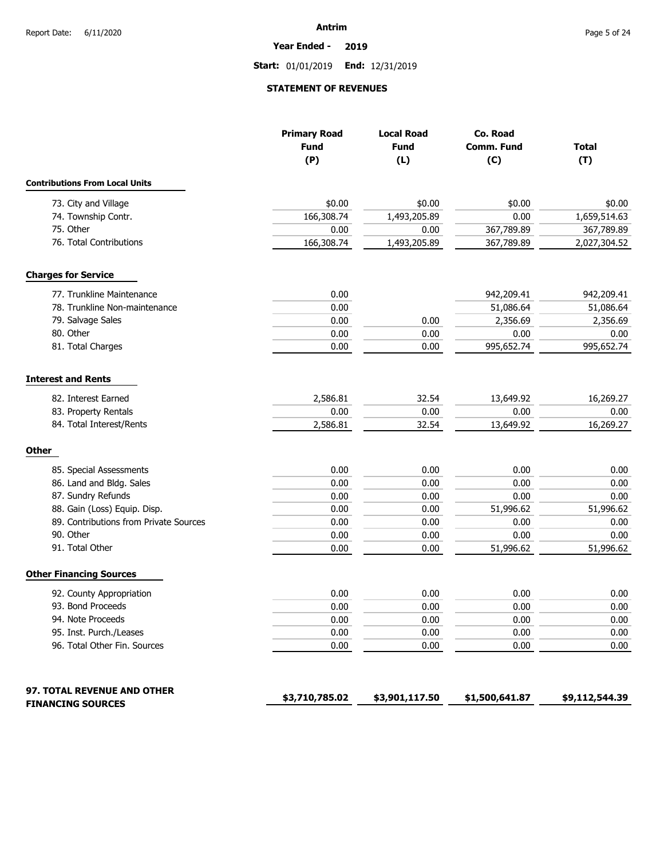**Year Ended - 2019**

**Start:** 01/01/2019 **End:** 12/31/2019

### **STATEMENT OF REVENUES**

|                                                         | <b>Primary Road</b><br><b>Fund</b><br>(P) | <b>Local Road</b><br><b>Fund</b><br>(L) | Co. Road<br>Comm. Fund<br>(C) | <b>Total</b><br>(T) |
|---------------------------------------------------------|-------------------------------------------|-----------------------------------------|-------------------------------|---------------------|
| <b>Contributions From Local Units</b>                   |                                           |                                         |                               |                     |
| 73. City and Village                                    | \$0.00                                    | \$0.00                                  | \$0.00                        | \$0.00              |
| 74. Township Contr.                                     | 166,308.74                                | 1,493,205.89                            | 0.00                          | 1,659,514.63        |
| 75. Other                                               | 0.00                                      | 0.00                                    | 367,789.89                    | 367,789.89          |
| 76. Total Contributions                                 | 166,308.74                                | 1,493,205.89                            | 367,789.89                    | 2,027,304.52        |
| <b>Charges for Service</b>                              |                                           |                                         |                               |                     |
| 77. Trunkline Maintenance                               | 0.00                                      |                                         | 942,209.41                    | 942,209.41          |
| 78. Trunkline Non-maintenance                           | 0.00                                      |                                         | 51,086.64                     | 51,086.64           |
| 79. Salvage Sales                                       | 0.00                                      | 0.00                                    | 2,356.69                      | 2,356.69            |
| 80. Other                                               | 0.00                                      | 0.00                                    | 0.00                          | 0.00                |
| 81. Total Charges                                       | 0.00                                      | 0.00                                    | 995,652.74                    | 995,652.74          |
| <b>Interest and Rents</b>                               |                                           |                                         |                               |                     |
| 82. Interest Earned                                     | 2,586.81                                  | 32.54                                   | 13,649.92                     | 16,269.27           |
| 83. Property Rentals                                    | 0.00                                      | 0.00                                    | 0.00                          | 0.00                |
| 84. Total Interest/Rents                                | 2,586.81                                  | 32.54                                   | 13,649.92                     | 16,269.27           |
| <b>Other</b>                                            |                                           |                                         |                               |                     |
| 85. Special Assessments                                 | 0.00                                      | 0.00                                    | 0.00                          | 0.00                |
| 86. Land and Bldg. Sales                                | 0.00                                      | 0.00                                    | 0.00                          | 0.00                |
| 87. Sundry Refunds                                      | 0.00                                      | 0.00                                    | 0.00                          | 0.00                |
| 88. Gain (Loss) Equip. Disp.                            | 0.00                                      | 0.00                                    | 51,996.62                     | 51,996.62           |
| 89. Contributions from Private Sources                  | 0.00                                      | 0.00                                    | 0.00                          | 0.00                |
| 90. Other                                               | 0.00                                      | 0.00                                    | 0.00                          | 0.00                |
| 91. Total Other                                         | 0.00                                      | 0.00                                    | 51,996.62                     | 51,996.62           |
| <b>Other Financing Sources</b>                          |                                           |                                         |                               |                     |
| 92. County Appropriation                                | 0.00                                      | 0.00                                    | 0.00                          | 0.00                |
| 93. Bond Proceeds                                       | 0.00                                      | 0.00                                    | 0.00                          | 0.00                |
| 94. Note Proceeds                                       | 0.00                                      | 0.00                                    | 0.00                          | 0.00                |
| 95. Inst. Purch./Leases                                 | 0.00                                      | 0.00                                    | 0.00                          | 0.00                |
| 96. Total Other Fin. Sources                            | 0.00                                      | 0.00                                    | 0.00                          | 0.00                |
| 97. TOTAL REVENUE AND OTHER<br><b>FINANCING SOURCES</b> | \$3,710,785.02                            | \$3,901,117.50                          | \$1,500,641.87                | \$9,112,544.39      |
|                                                         |                                           |                                         |                               |                     |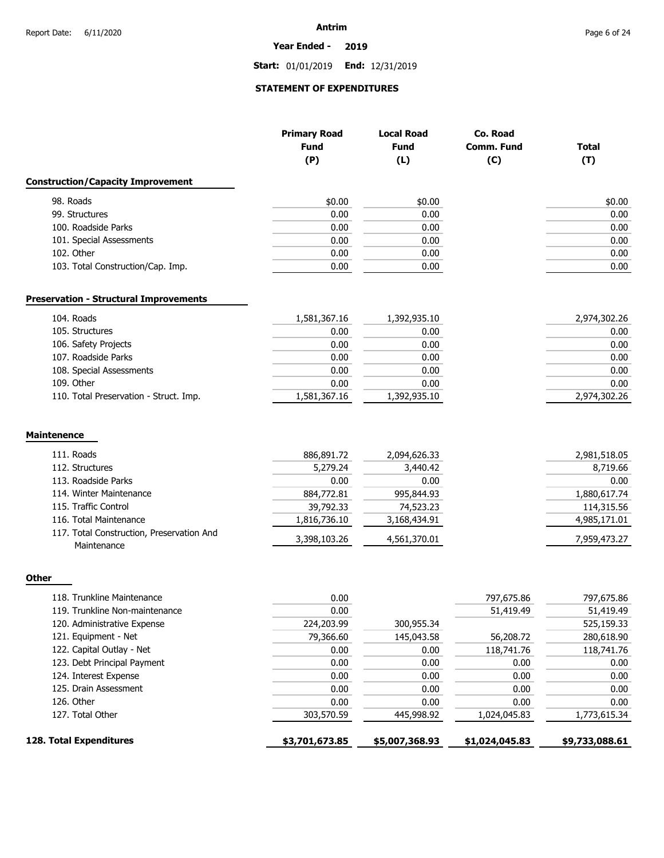#### **Year Ended - 2019**

**Start:** 01/01/2019 **End:** 12/31/2019

### **STATEMENT OF EXPENDITURES**

|                                                          | <b>Primary Road</b><br><b>Fund</b><br>(P) | <b>Local Road</b><br><b>Fund</b><br>(L) | Co. Road<br>Comm. Fund<br>(C) | <b>Total</b><br>(T) |
|----------------------------------------------------------|-------------------------------------------|-----------------------------------------|-------------------------------|---------------------|
| <b>Construction/Capacity Improvement</b>                 |                                           |                                         |                               |                     |
| 98. Roads                                                | \$0.00                                    | \$0.00                                  |                               | \$0.00              |
| 99. Structures                                           | 0.00                                      | 0.00                                    |                               | 0.00                |
| 100. Roadside Parks                                      | 0.00                                      | 0.00                                    |                               | 0.00                |
| 101. Special Assessments                                 | 0.00                                      | 0.00                                    |                               | 0.00                |
| 102. Other                                               | 0.00                                      | 0.00                                    |                               | 0.00                |
| 103. Total Construction/Cap. Imp.                        | 0.00                                      | 0.00                                    |                               | 0.00                |
| <b>Preservation - Structural Improvements</b>            |                                           |                                         |                               |                     |
| 104. Roads                                               | 1,581,367.16                              | 1,392,935.10                            |                               | 2,974,302.26        |
| 105. Structures                                          | 0.00                                      | 0.00                                    |                               | 0.00                |
| 106. Safety Projects                                     | 0.00                                      | 0.00                                    |                               | 0.00                |
| 107. Roadside Parks                                      | 0.00                                      | 0.00                                    |                               | 0.00                |
| 108. Special Assessments                                 | 0.00                                      | 0.00                                    |                               | 0.00                |
| 109. Other                                               | 0.00                                      | 0.00                                    |                               | 0.00                |
| 110. Total Preservation - Struct. Imp.                   | 1,581,367.16                              | 1,392,935.10                            |                               | 2,974,302.26        |
| <b>Maintenence</b>                                       |                                           |                                         |                               |                     |
| 111. Roads                                               | 886,891.72                                | 2,094,626.33                            |                               | 2,981,518.05        |
| 112. Structures                                          | 5,279.24                                  | 3,440.42                                |                               | 8,719.66            |
| 113. Roadside Parks                                      | 0.00                                      | 0.00                                    |                               | 0.00                |
| 114. Winter Maintenance                                  | 884,772.81                                | 995,844.93                              |                               | 1,880,617.74        |
| 115. Traffic Control                                     | 39,792.33                                 | 74,523.23                               |                               | 114,315.56          |
| 116. Total Maintenance                                   | 1,816,736.10                              | 3,168,434.91                            |                               | 4,985,171.01        |
| 117. Total Construction, Preservation And<br>Maintenance | 3,398,103.26                              | 4,561,370.01                            |                               | 7,959,473.27        |
| Other                                                    |                                           |                                         |                               |                     |
| 118. Trunkline Maintenance                               | 0.00                                      |                                         | 797,675.86                    | 797,675.86          |
| 119. Trunkline Non-maintenance                           | 0.00                                      |                                         | 51,419.49                     | 51,419.49           |
| 120. Administrative Expense                              | 224,203.99                                | 300,955.34                              |                               | 525,159.33          |
| 121. Equipment - Net                                     | 79,366.60                                 | 145,043.58                              | 56,208.72                     | 280,618.90          |
| 122. Capital Outlay - Net                                | 0.00                                      | 0.00                                    | 118,741.76                    | 118,741.76          |
| 123. Debt Principal Payment                              | 0.00                                      | 0.00                                    | 0.00                          | 0.00                |
| 124. Interest Expense                                    | 0.00                                      | 0.00                                    | 0.00                          | 0.00                |
| 125. Drain Assessment                                    | 0.00                                      | 0.00                                    | 0.00                          | 0.00                |
| 126. Other                                               | 0.00                                      | 0.00                                    | 0.00                          | 0.00                |
| 127. Total Other                                         | 303,570.59                                | 445,998.92                              | 1,024,045.83                  | 1,773,615.34        |
| 128. Total Expenditures                                  | \$3,701,673.85                            | \$5,007,368.93                          | \$1,024,045.83                | \$9,733,088.61      |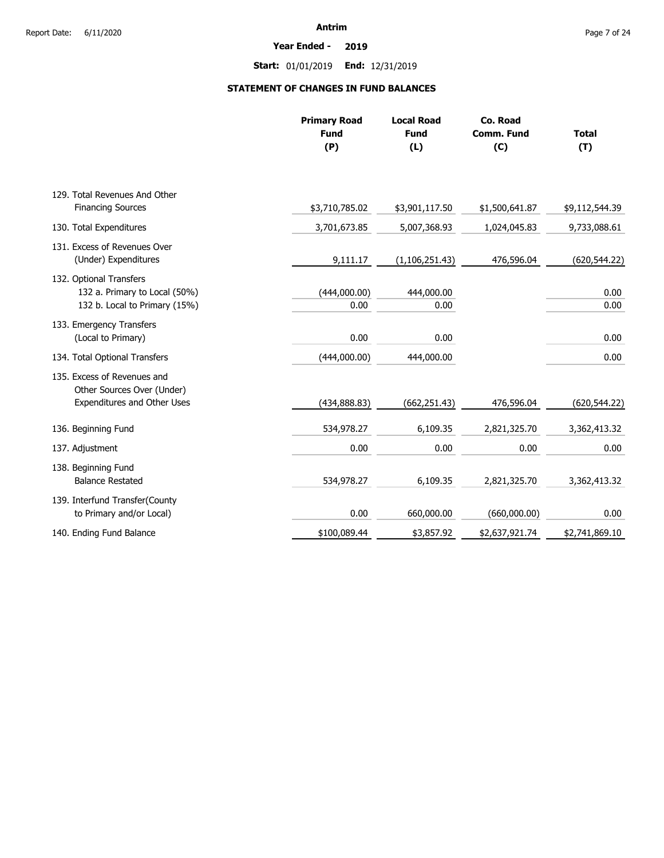**Year Ended - 2019**

**Start:** 01/01/2019 **End:** 12/31/2019

### **STATEMENT OF CHANGES IN FUND BALANCES**

|                                                                                                 | <b>Primary Road</b><br><b>Fund</b><br>(P) | <b>Local Road</b><br><b>Fund</b><br>(L) | Co. Road<br>Comm. Fund<br>(C) | <b>Total</b><br>(T) |
|-------------------------------------------------------------------------------------------------|-------------------------------------------|-----------------------------------------|-------------------------------|---------------------|
| 129. Total Revenues And Other                                                                   |                                           |                                         |                               |                     |
| <b>Financing Sources</b>                                                                        | \$3,710,785.02                            | \$3,901,117.50                          | \$1,500,641.87                | \$9,112,544.39      |
| 130. Total Expenditures                                                                         | 3,701,673.85                              | 5,007,368.93                            | 1,024,045.83                  | 9,733,088.61        |
| 131. Excess of Revenues Over<br>(Under) Expenditures                                            | 9,111.17                                  | (1, 106, 251.43)                        | 476,596.04                    | (620, 544.22)       |
| 132. Optional Transfers<br>132 a. Primary to Local (50%)<br>132 b. Local to Primary (15%)       | (444,000.00)<br>0.00                      | 444,000.00<br>0.00                      |                               | 0.00<br>0.00        |
| 133. Emergency Transfers<br>(Local to Primary)                                                  | 0.00                                      | 0.00                                    |                               | 0.00                |
| 134. Total Optional Transfers                                                                   | (444,000.00)                              | 444,000.00                              |                               | 0.00                |
| 135. Excess of Revenues and<br>Other Sources Over (Under)<br><b>Expenditures and Other Uses</b> | (434, 888.83)                             | (662, 251.43)                           | 476,596.04                    | (620, 544.22)       |
| 136. Beginning Fund                                                                             | 534,978.27                                | 6,109.35                                | 2,821,325.70                  | 3,362,413.32        |
| 137. Adjustment                                                                                 | 0.00                                      | 0.00                                    | 0.00                          | 0.00                |
| 138. Beginning Fund<br><b>Balance Restated</b>                                                  | 534,978.27                                | 6,109.35                                | 2,821,325.70                  | 3,362,413.32        |
| 139. Interfund Transfer(County<br>to Primary and/or Local)                                      | 0.00                                      | 660,000.00                              | (660,000.00)                  | 0.00                |
| 140. Ending Fund Balance                                                                        | \$100,089.44                              | \$3,857.92                              | \$2,637,921.74                | \$2,741,869.10      |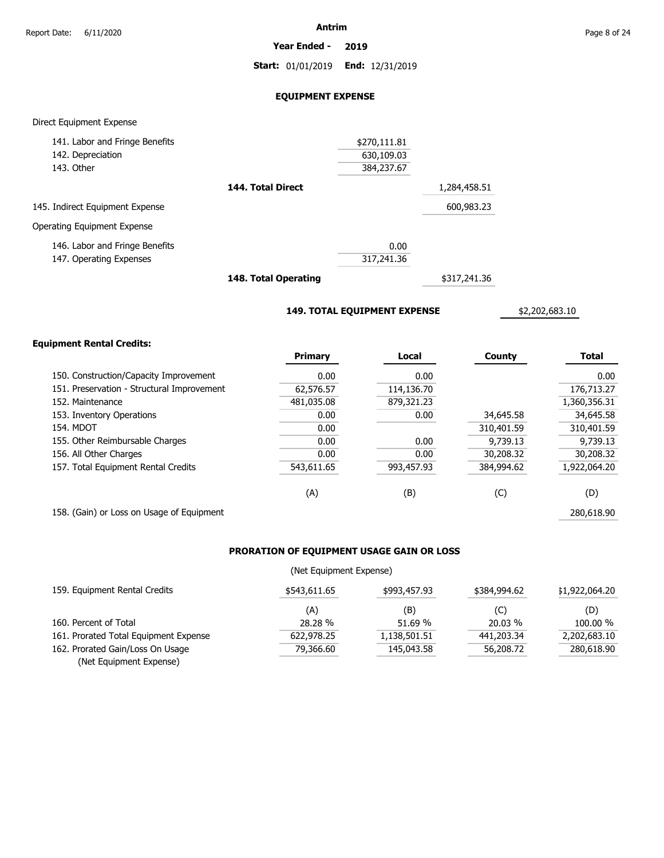**Year Ended - 2019**

**Start:** 01/01/2019 **End:** 12/31/2019

### **EQUIPMENT EXPENSE**

### Direct Equipment Expense

| 141. Labor and Fringe Benefits  |                                    | \$270,111.81 |              |
|---------------------------------|------------------------------------|--------------|--------------|
| 142. Depreciation               |                                    | 630,109.03   |              |
| 143. Other                      |                                    | 384,237.67   |              |
|                                 | 144. Total Direct                  |              | 1,284,458.51 |
| 145. Indirect Equipment Expense |                                    |              | 600,983.23   |
| Operating Equipment Expense     |                                    |              |              |
| 146. Labor and Fringe Benefits  |                                    | 0.00         |              |
| 147. Operating Expenses         |                                    | 317,241.36   |              |
|                                 | $\sim$ $\sim$ $\sim$ $\sim$ $\sim$ |              |              |

**148. Total Operating**

\$317,241.36

**149. TOTAL EQUIPMENT EXPENSE**

\$2,202,683.10

### **Equipment Rental Credits:**

|                                            | <b>Primary</b> | Local      | County     | <b>Total</b> |
|--------------------------------------------|----------------|------------|------------|--------------|
| 150. Construction/Capacity Improvement     | 0.00           | 0.00       |            | 0.00         |
| 151. Preservation - Structural Improvement | 62,576.57      | 114,136.70 |            | 176,713.27   |
| 152. Maintenance                           | 481,035.08     | 879,321.23 |            | 1,360,356.31 |
| 153. Inventory Operations                  | 0.00           | 0.00       | 34,645.58  | 34,645.58    |
| 154. MDOT                                  | 0.00           |            | 310,401.59 | 310,401.59   |
| 155. Other Reimbursable Charges            | 0.00           | 0.00       | 9,739.13   | 9,739.13     |
| 156. All Other Charges                     | 0.00           | 0.00       | 30,208.32  | 30,208.32    |
| 157. Total Equipment Rental Credits        | 543,611.65     | 993,457.93 | 384,994.62 | 1,922,064.20 |
|                                            | (A)            | (B)        | (C)        | (D)          |
| 158. (Gain) or Loss on Usage of Equipment  |                |            |            | 280,618.90   |

### **PRORATION OF EQUIPMENT USAGE GAIN OR LOSS**

### (Net Equipment Expense)

| 159. Equipment Rental Credits         | \$543,611.65 | \$993,457.93 | \$384,994,62 | \$1,922,064.20 |
|---------------------------------------|--------------|--------------|--------------|----------------|
|                                       | (A)          | (B)          | (C)          | (D)            |
| 160. Percent of Total                 | 28.28%       | 51.69 %      | 20.03 %      | 100.00 %       |
| 161. Prorated Total Equipment Expense | 622,978.25   | 1,138,501.51 | 441,203.34   | 2,202,683.10   |
| 162. Prorated Gain/Loss On Usage      | 79,366.60    | 145,043.58   | 56,208.72    | 280,618.90     |
| (Net Equipment Expense)               |              |              |              |                |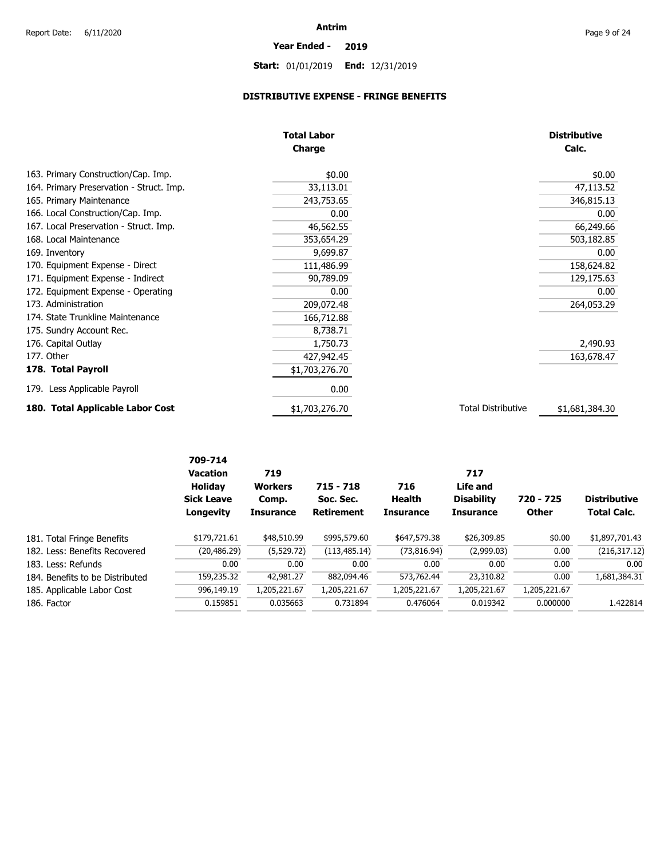# **Year Ended - 2019**

# **Start:** 01/01/2019 **End:** 12/31/2019

### **DISTRIBUTIVE EXPENSE - FRINGE BENEFITS**

|                                          | <b>Total Labor</b><br><b>Charge</b> |                           | <b>Distributive</b><br>Calc. |
|------------------------------------------|-------------------------------------|---------------------------|------------------------------|
| 163. Primary Construction/Cap. Imp.      | \$0.00                              |                           | \$0.00                       |
| 164. Primary Preservation - Struct. Imp. | 33,113.01                           |                           | 47,113.52                    |
| 165. Primary Maintenance                 | 243,753.65                          |                           | 346,815.13                   |
| 166. Local Construction/Cap. Imp.        | 0.00                                |                           | 0.00                         |
| 167. Local Preservation - Struct. Imp.   | 46,562.55                           |                           | 66,249.66                    |
| 168. Local Maintenance                   | 353,654.29                          |                           | 503,182.85                   |
| 169. Inventory                           | 9,699.87                            |                           | 0.00                         |
| 170. Equipment Expense - Direct          | 111,486.99                          |                           | 158,624.82                   |
| 171. Equipment Expense - Indirect        | 90,789.09                           |                           | 129,175.63                   |
| 172. Equipment Expense - Operating       | 0.00                                |                           | 0.00                         |
| 173. Administration                      | 209,072.48                          |                           | 264,053.29                   |
| 174. State Trunkline Maintenance         | 166,712.88                          |                           |                              |
| 175. Sundry Account Rec.                 | 8,738.71                            |                           |                              |
| 176. Capital Outlay                      | 1,750.73                            |                           | 2,490.93                     |
| 177. Other                               | 427,942.45                          |                           | 163,678.47                   |
| 178. Total Payroll                       | \$1,703,276.70                      |                           |                              |
| 179. Less Applicable Payroll             | 0.00                                |                           |                              |
| 180. Total Applicable Labor Cost         | \$1,703,276.70                      | <b>Total Distributive</b> | \$1,681,384.30               |

| \$995,579.60<br>\$26,309.85<br>\$179,721.61<br>\$48,510.99<br>\$647,579.38<br>\$0.00<br>181. Total Fringe Benefits<br>(5,529.72)<br>(113, 485.14)<br>(73, 816.94)<br>(2,999.03)<br>(20, 486.29)<br>0.00<br>182. Less: Benefits Recovered<br>0.00<br>0.00<br>0.00<br>0.00<br>0.00<br>0.00<br>183. Less: Refunds<br>882,094.46<br>23,310.82<br>159,235.32<br>42,981.27<br>573,762.44<br>0.00<br>184. Benefits to be Distributed<br>1,205,221.67<br>1,205,221.67<br>1,205,221.67<br>996,149.19<br>1,205,221.67<br>1,205,221.67<br>185. Applicable Labor Cost<br>0.035663<br>0.731894<br>0.019342<br>0.000000<br>0.159851<br>0.476064 |             | 709-714<br><b>Vacation</b><br><b>Holidav</b><br><b>Sick Leave</b><br>Longevity | 719<br><b>Workers</b><br>Comp.<br><b>Insurance</b> | $715 - 718$<br>Soc. Sec.<br><b>Retirement</b> | 716<br>Health<br><b>Insurance</b> | 717<br>Life and<br><b>Disability</b><br><b>Insurance</b> | 720 - 725<br><b>Other</b> | <b>Distributive</b><br><b>Total Calc.</b> |
|-----------------------------------------------------------------------------------------------------------------------------------------------------------------------------------------------------------------------------------------------------------------------------------------------------------------------------------------------------------------------------------------------------------------------------------------------------------------------------------------------------------------------------------------------------------------------------------------------------------------------------------|-------------|--------------------------------------------------------------------------------|----------------------------------------------------|-----------------------------------------------|-----------------------------------|----------------------------------------------------------|---------------------------|-------------------------------------------|
|                                                                                                                                                                                                                                                                                                                                                                                                                                                                                                                                                                                                                                   |             |                                                                                |                                                    |                                               |                                   |                                                          |                           | \$1,897,701.43                            |
|                                                                                                                                                                                                                                                                                                                                                                                                                                                                                                                                                                                                                                   |             |                                                                                |                                                    |                                               |                                   |                                                          |                           | (216, 317.12)                             |
|                                                                                                                                                                                                                                                                                                                                                                                                                                                                                                                                                                                                                                   |             |                                                                                |                                                    |                                               |                                   |                                                          |                           | 0.00                                      |
|                                                                                                                                                                                                                                                                                                                                                                                                                                                                                                                                                                                                                                   |             |                                                                                |                                                    |                                               |                                   |                                                          |                           | 1,681,384.31                              |
|                                                                                                                                                                                                                                                                                                                                                                                                                                                                                                                                                                                                                                   |             |                                                                                |                                                    |                                               |                                   |                                                          |                           |                                           |
|                                                                                                                                                                                                                                                                                                                                                                                                                                                                                                                                                                                                                                   | 186. Factor |                                                                                |                                                    |                                               |                                   |                                                          |                           | 1.422814                                  |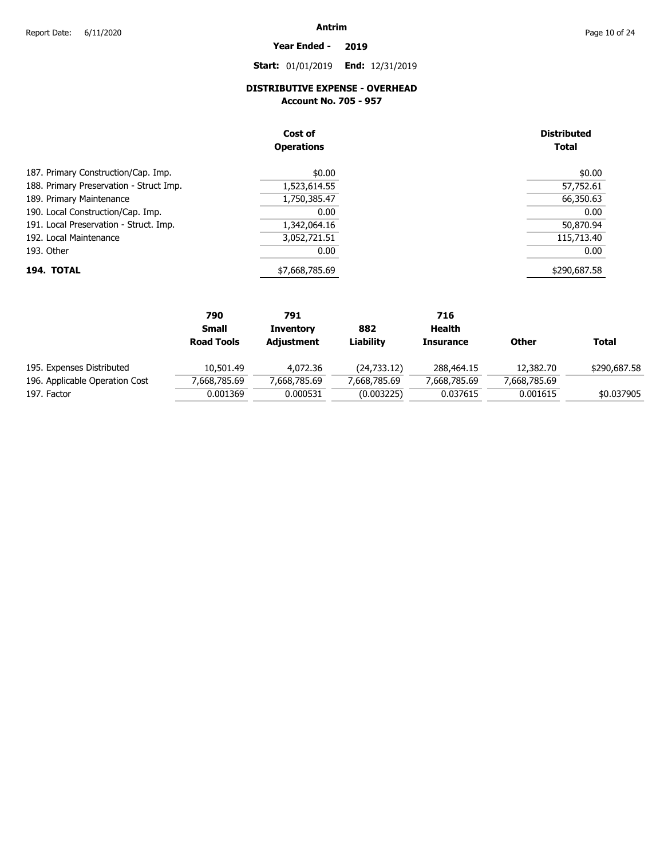# **Year Ended - 2019**

**Start:** 01/01/2019 **End:** 12/31/2019

## **DISTRIBUTIVE EXPENSE - OVERHEAD**

**Account No. 705 - 957** 

| Cost of<br><b>Operations</b>            |                | <b>Distributed</b><br><b>Total</b> |  |  |
|-----------------------------------------|----------------|------------------------------------|--|--|
| 187. Primary Construction/Cap. Imp.     | \$0.00         | \$0.00                             |  |  |
| 188. Primary Preservation - Struct Imp. | 1,523,614.55   | 57,752.61                          |  |  |
| 189. Primary Maintenance                | 1,750,385.47   | 66,350.63                          |  |  |
| 190. Local Construction/Cap. Imp.       | 0.00           | 0.00                               |  |  |
| 191. Local Preservation - Struct. Imp.  | 1,342,064.16   | 50,870.94                          |  |  |
| 192. Local Maintenance                  | 3,052,721.51   | 115,713.40                         |  |  |
| 193. Other                              | 0.00           | 0.00                               |  |  |
| 194. TOTAL                              | \$7,668,785.69 | \$290,687.58                       |  |  |

|                                | 790               | 791              |              | 716              |              |              |
|--------------------------------|-------------------|------------------|--------------|------------------|--------------|--------------|
|                                | <b>Small</b>      | <b>Inventory</b> | 882          | Health           |              |              |
|                                | <b>Road Tools</b> | Adjustment       | Liability    | <b>Insurance</b> | <b>Other</b> | Total        |
| 195. Expenses Distributed      | 10,501.49         | 4.072.36         | (24, 733.12) | 288,464.15       | 12,382,70    | \$290,687.58 |
| 196. Applicable Operation Cost | 7,668,785.69      | 7,668,785.69     | 7,668,785.69 | 7,668,785.69     | 7,668,785.69 |              |
| 197. Factor                    | 0.001369          | 0.000531         | (0.003225)   | 0.037615         | 0.001615     | \$0.037905   |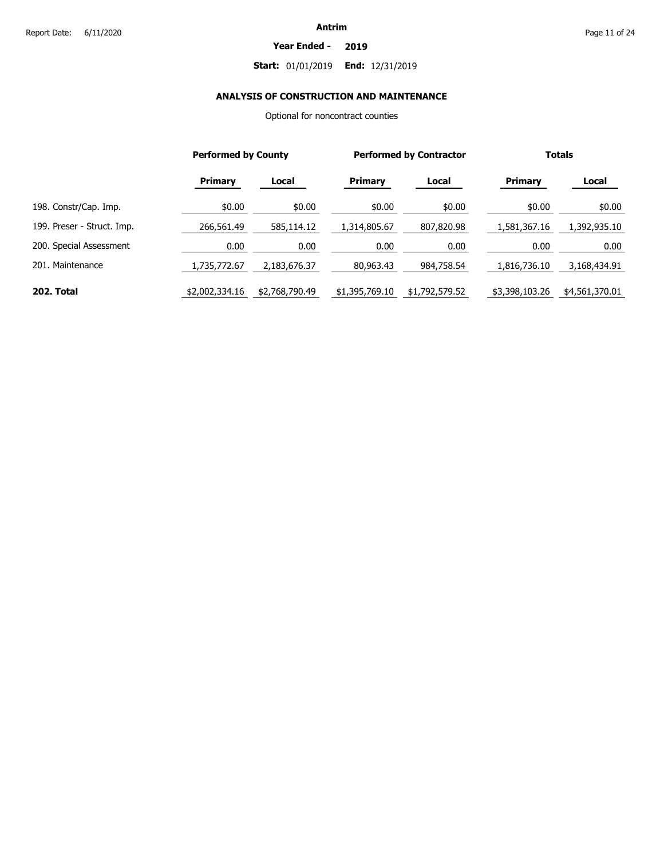#### **Year Ended - 2019**

### **Start:** 01/01/2019 **End:** 12/31/2019

### **ANALYSIS OF CONSTRUCTION AND MAINTENANCE**

Optional for noncontract counties

|                            |                | <b>Performed by County</b> |                | <b>Performed by Contractor</b> |                | <b>Totals</b>  |  |
|----------------------------|----------------|----------------------------|----------------|--------------------------------|----------------|----------------|--|
|                            | <b>Primary</b> | Local                      | Primary        | Local                          | Primary        | Local          |  |
| 198. Constr/Cap. Imp.      | \$0.00         | \$0.00                     | \$0.00         | \$0.00                         | \$0.00         | \$0.00         |  |
| 199. Preser - Struct. Imp. | 266,561.49     | 585,114.12                 | 1,314,805.67   | 807,820.98                     | 1,581,367.16   | 1,392,935.10   |  |
| 200. Special Assessment    | 0.00           | 0.00                       | 0.00           | 0.00                           | 0.00           | 0.00           |  |
| 201. Maintenance           | 1,735,772.67   | 2,183,676.37               | 80,963.43      | 984,758.54                     | 1,816,736.10   | 3,168,434.91   |  |
| 202. Total                 | \$2,002,334.16 | \$2,768,790.49             | \$1,395,769.10 | \$1,792,579.52                 | \$3,398,103.26 | \$4,561,370.01 |  |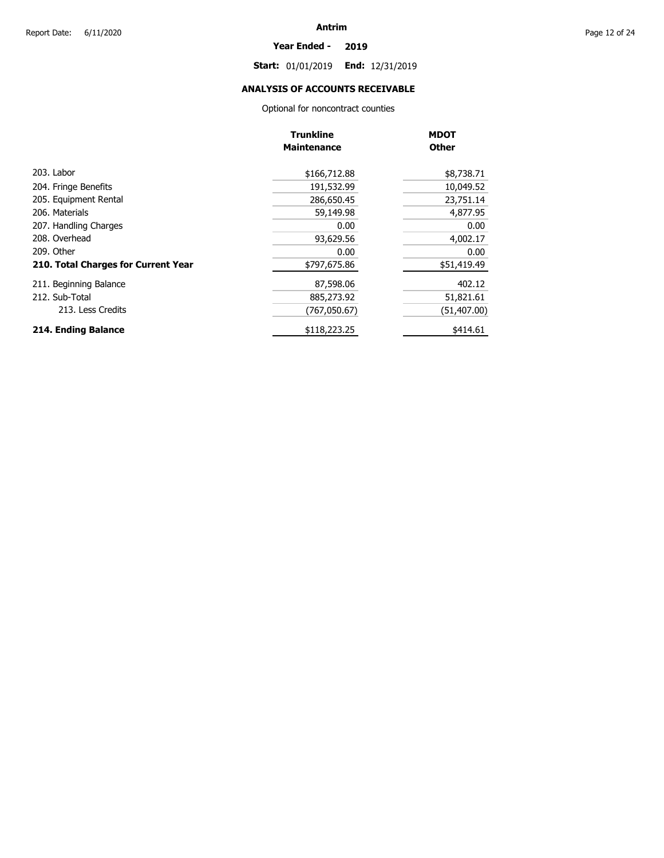#### **Year Ended - 2019**

**Start:** 01/01/2019 **End:** 12/31/2019

### **ANALYSIS OF ACCOUNTS RECEIVABLE**

Optional for noncontract counties

|                                     | <b>Trunkline</b>   | <b>MDOT</b>  |
|-------------------------------------|--------------------|--------------|
|                                     | <b>Maintenance</b> | <b>Other</b> |
| 203. Labor                          | \$166,712.88       | \$8,738.71   |
| 204. Fringe Benefits                | 191,532.99         | 10,049.52    |
| 205. Equipment Rental               | 286,650.45         | 23,751.14    |
| 206. Materials                      | 59,149.98          | 4,877.95     |
| 207. Handling Charges               | 0.00               | 0.00         |
| 208. Overhead                       | 93,629.56          | 4,002.17     |
| 209. Other                          | 0.00               | 0.00         |
| 210. Total Charges for Current Year | \$797,675.86       | \$51,419.49  |
| 211. Beginning Balance              | 87,598.06          | 402.12       |
| 212. Sub-Total                      | 885,273.92         | 51,821.61    |
| 213. Less Credits                   | (767,050.67)       | (51, 407.00) |
| 214. Ending Balance                 | \$118,223.25       | \$414.61     |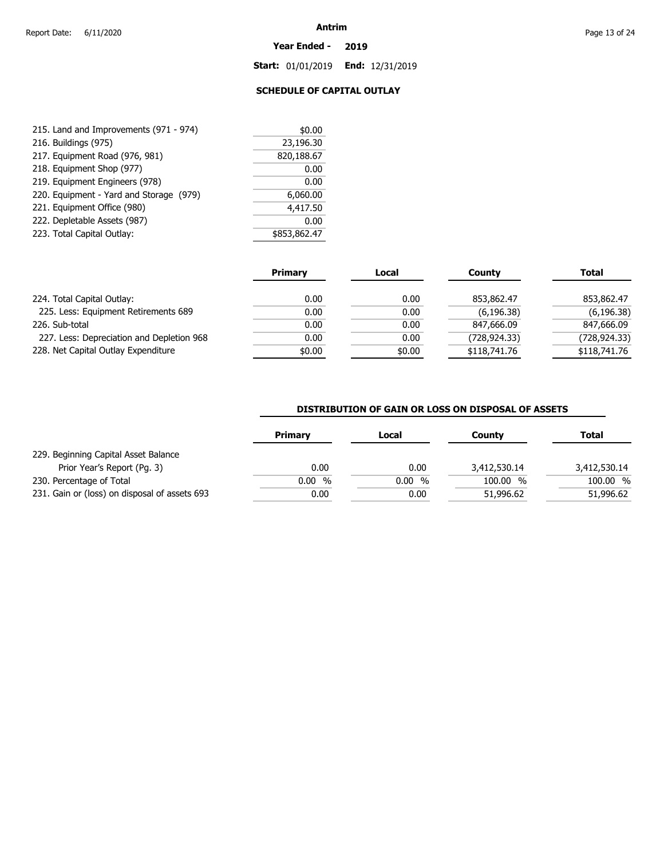#### **Year Ended - 2019**

**Start:** 01/01/2019 **End:** 12/31/2019

### **SCHEDULE OF CAPITAL OUTLAY**

| 215. Land and Improvements (971 - 974)  | \$0.00       |
|-----------------------------------------|--------------|
| 216. Buildings (975)                    | 23,196.30    |
| 217. Equipment Road (976, 981)          | 820,188.67   |
| 218. Equipment Shop (977)               | 0.00         |
| 219. Equipment Engineers (978)          | 0.00         |
| 220. Equipment - Yard and Storage (979) | 6,060.00     |
| 221. Equipment Office (980)             | 4,417.50     |
| 222. Depletable Assets (987)            | 0.00         |
| 223. Total Capital Outlay:              | \$853,862.47 |

|                                           | <b>Primary</b> | Local  | Countv       | <b>Total</b> |
|-------------------------------------------|----------------|--------|--------------|--------------|
| 224. Total Capital Outlay:                | 0.00           | 0.00   | 853,862.47   | 853,862.47   |
| 225. Less: Equipment Retirements 689      | 0.00           | 0.00   | (6, 196.38)  | (6, 196.38)  |
| 226. Sub-total                            | 0.00           | 0.00   | 847,666.09   | 847,666.09   |
| 227. Less: Depreciation and Depletion 968 | 0.00           | 0.00   | (728,924.33) | (728,924.33) |
| 228. Net Capital Outlay Expenditure       | \$0.00         | \$0.00 | \$118,741.76 | \$118,741.76 |

### **DISTRIBUTION OF GAIN OR LOSS ON DISPOSAL OF ASSETS**

|                                               | Primary | Local | County                  | Total        |
|-----------------------------------------------|---------|-------|-------------------------|--------------|
| 229. Beginning Capital Asset Balance          |         |       |                         |              |
| Prior Year's Report (Pg. 3)                   | 0.00    | 0.00  | 3,412,530.14            | 3,412,530.14 |
| 230. Percentage of Total                      | 0.00%   | 0.00% | 100.00<br>$\frac{0}{0}$ | 100.00 %     |
| 231. Gain or (loss) on disposal of assets 693 | 0.00    | 0.00  | 51,996.62               | 51,996.62    |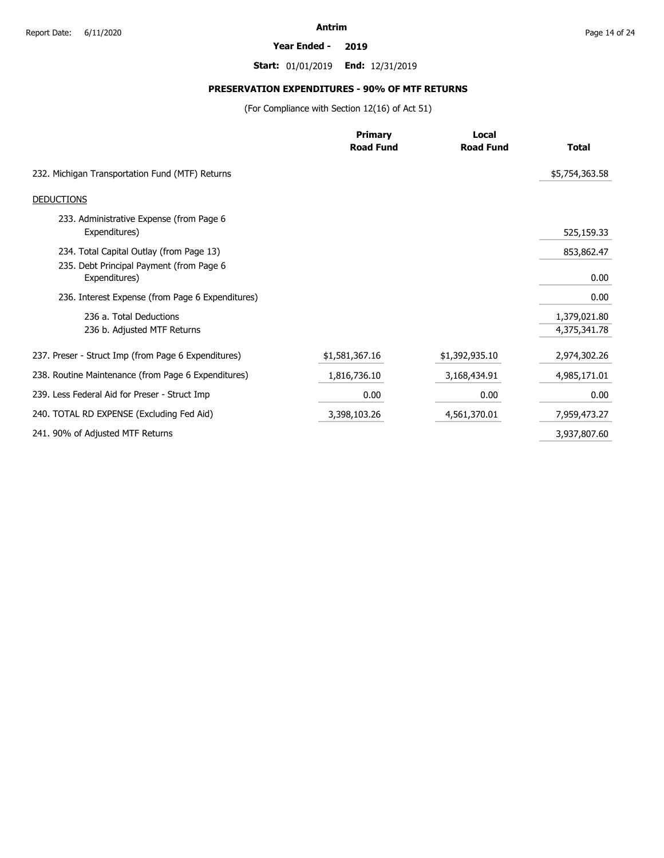#### **Year Ended - 2019**

**Start:** 01/01/2019 **End:** 12/31/2019

# **PRESERVATION EXPENDITURES - 90% OF MTF RETURNS**

(For Compliance with Section 12(16) of Act 51)

|                                                           | <b>Primary</b><br><b>Road Fund</b> | Local<br><b>Road Fund</b> | <b>Total</b>   |
|-----------------------------------------------------------|------------------------------------|---------------------------|----------------|
|                                                           |                                    |                           |                |
| 232. Michigan Transportation Fund (MTF) Returns           |                                    |                           | \$5,754,363.58 |
| <b>DEDUCTIONS</b>                                         |                                    |                           |                |
| 233. Administrative Expense (from Page 6                  |                                    |                           |                |
| Expenditures)                                             |                                    |                           | 525,159.33     |
| 234. Total Capital Outlay (from Page 13)                  |                                    |                           | 853,862.47     |
| 235. Debt Principal Payment (from Page 6<br>Expenditures) |                                    |                           | 0.00           |
| 236. Interest Expense (from Page 6 Expenditures)          |                                    |                           | 0.00           |
| 236 a. Total Deductions                                   |                                    |                           | 1,379,021.80   |
| 236 b. Adjusted MTF Returns                               |                                    |                           | 4,375,341.78   |
| 237. Preser - Struct Imp (from Page 6 Expenditures)       | \$1,581,367.16                     | \$1,392,935.10            | 2,974,302.26   |
| 238. Routine Maintenance (from Page 6 Expenditures)       | 1,816,736.10                       | 3,168,434.91              | 4,985,171.01   |
| 239. Less Federal Aid for Preser - Struct Imp             | 0.00                               | 0.00                      | 0.00           |
| 240. TOTAL RD EXPENSE (Excluding Fed Aid)                 | 3,398,103.26                       | 4,561,370.01              | 7,959,473.27   |
| 241. 90% of Adjusted MTF Returns                          |                                    |                           | 3,937,807.60   |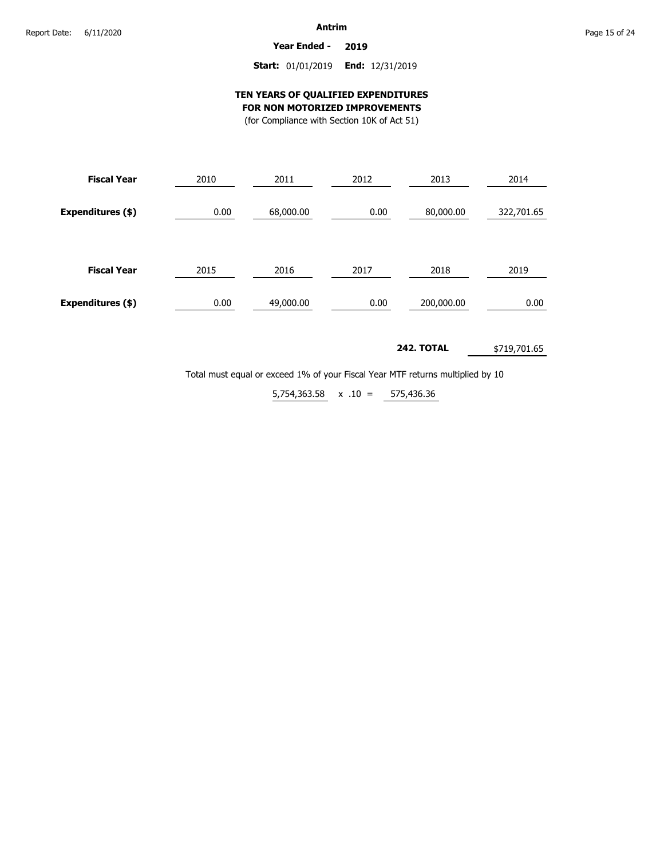**Year Ended - 2019**

### **Start:** 01/01/2019 **End:** 12/31/2019

### **TEN YEARS OF QUALIFIED EXPENDITURES FOR NON MOTORIZED IMPROVEMENTS**

(for Compliance with Section 10K of Act 51)

| <b>Fiscal Year</b> | 2010 | 2011      | 2012 | 2013       | 2014       |
|--------------------|------|-----------|------|------------|------------|
| Expenditures (\$)  | 0.00 | 68,000.00 | 0.00 | 80,000.00  | 322,701.65 |
| <b>Fiscal Year</b> | 2015 | 2016      | 2017 | 2018       | 2019       |
| Expenditures (\$)  | 0.00 | 49,000.00 | 0.00 | 200,000.00 | 0.00       |

**242. TOTAL** \$719,701.65

Total must equal or exceed 1% of your Fiscal Year MTF returns multiplied by 10

 $5,754,363.58 \times .10 = 575,436.36$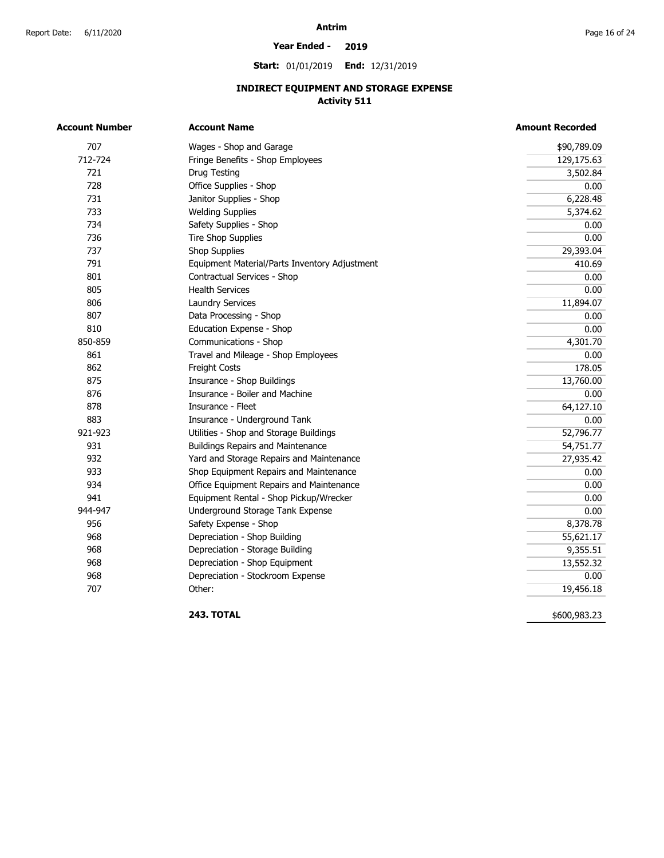#### **Year Ended - 2019**

**Start:** 01/01/2019 **End:** 12/31/2019

## **INDIRECT EQUIPMENT AND STORAGE EXPENSE Activity 511**

| <b>Account Number</b> | <b>Account Name</b>                           | <b>Amount Recorded</b> |
|-----------------------|-----------------------------------------------|------------------------|
| 707                   | Wages - Shop and Garage                       | \$90,789.09            |
| 712-724               | Fringe Benefits - Shop Employees              | 129,175.63             |
| 721                   | Drug Testing                                  | 3,502.84               |
| 728                   | Office Supplies - Shop                        | 0.00                   |
| 731                   | Janitor Supplies - Shop                       | 6,228.48               |
| 733                   | <b>Welding Supplies</b>                       | 5,374.62               |
| 734                   | Safety Supplies - Shop                        | 0.00                   |
| 736                   | <b>Tire Shop Supplies</b>                     | 0.00                   |
| 737                   | Shop Supplies                                 | 29,393.04              |
| 791                   | Equipment Material/Parts Inventory Adjustment | 410.69                 |
| 801                   | Contractual Services - Shop                   | 0.00                   |
| 805                   | <b>Health Services</b>                        | 0.00                   |
| 806                   | <b>Laundry Services</b>                       | 11,894.07              |
| 807                   | Data Processing - Shop                        | 0.00                   |
| 810                   | Education Expense - Shop                      | 0.00                   |
| 850-859               | Communications - Shop                         | 4,301.70               |
| 861                   | Travel and Mileage - Shop Employees           | 0.00                   |
| 862                   | Freight Costs                                 | 178.05                 |
| 875                   | Insurance - Shop Buildings                    | 13,760.00              |
| 876                   | Insurance - Boiler and Machine                | 0.00                   |
| 878                   | Insurance - Fleet                             | 64,127.10              |
| 883                   | Insurance - Underground Tank                  | 0.00                   |
| 921-923               | Utilities - Shop and Storage Buildings        | 52,796.77              |
| 931                   | <b>Buildings Repairs and Maintenance</b>      | 54,751.77              |
| 932                   | Yard and Storage Repairs and Maintenance      | 27,935.42              |
| 933                   | Shop Equipment Repairs and Maintenance        | 0.00                   |
| 934                   | Office Equipment Repairs and Maintenance      | 0.00                   |
| 941                   | Equipment Rental - Shop Pickup/Wrecker        | 0.00                   |
| 944-947               | Underground Storage Tank Expense              | 0.00                   |
| 956                   | Safety Expense - Shop                         | 8,378.78               |
| 968                   | Depreciation - Shop Building                  | 55,621.17              |
| 968                   | Depreciation - Storage Building               | 9,355.51               |
| 968                   | Depreciation - Shop Equipment                 | 13,552.32              |
| 968                   | Depreciation - Stockroom Expense              | 0.00                   |
| 707                   | Other:                                        | 19,456.18              |

**243. TOTAL** 

\$600,983.23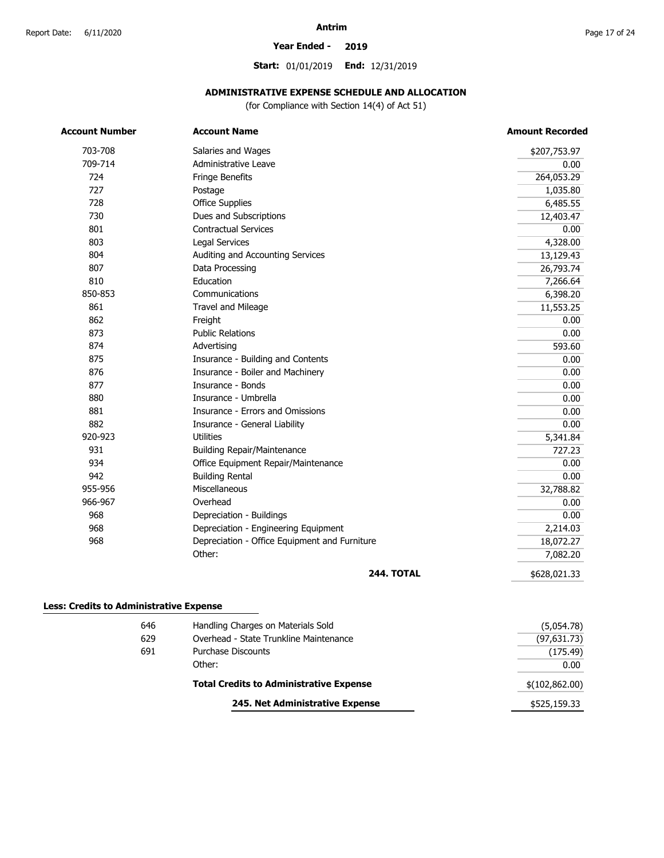#### **Year Ended - 2019**

**Start:** 01/01/2019 **End:** 12/31/2019

### **ADMINISTRATIVE EXPENSE SCHEDULE AND ALLOCATION**

(for Compliance with Section 14(4) of Act 51)

| <b>Account Number</b>                          | <b>Account Name</b>                           | <b>Amount Recorded</b> |
|------------------------------------------------|-----------------------------------------------|------------------------|
| 703-708                                        | Salaries and Wages                            | \$207,753.97           |
| 709-714                                        | Administrative Leave                          | 0.00                   |
| 724                                            | Fringe Benefits                               | 264,053.29             |
| 727                                            | Postage                                       | 1,035.80               |
| 728                                            | <b>Office Supplies</b>                        | 6,485.55               |
| 730                                            | Dues and Subscriptions                        | 12,403.47              |
| 801                                            | <b>Contractual Services</b>                   | 0.00                   |
| 803                                            | Legal Services                                | 4,328.00               |
| 804                                            | Auditing and Accounting Services              | 13,129.43              |
| 807                                            | Data Processing                               | 26,793.74              |
| 810                                            | Education                                     | 7,266.64               |
| 850-853                                        | Communications                                | 6,398.20               |
| 861                                            | <b>Travel and Mileage</b>                     | 11,553.25              |
| 862                                            | Freight                                       | 0.00                   |
| 873                                            | <b>Public Relations</b>                       | 0.00                   |
| 874                                            | Advertising                                   | 593.60                 |
| 875                                            | Insurance - Building and Contents             | 0.00                   |
| 876                                            | Insurance - Boiler and Machinery              | 0.00                   |
| 877                                            | Insurance - Bonds                             | 0.00                   |
| 880                                            | Insurance - Umbrella                          | 0.00                   |
| 881                                            | Insurance - Errors and Omissions              | 0.00                   |
| 882                                            | Insurance - General Liability                 | 0.00                   |
| 920-923                                        | <b>Utilities</b>                              | 5,341.84               |
| 931                                            | <b>Building Repair/Maintenance</b>            | 727.23                 |
| 934                                            | Office Equipment Repair/Maintenance           | 0.00                   |
| 942                                            | <b>Building Rental</b>                        | 0.00                   |
| 955-956                                        | <b>Miscellaneous</b>                          | 32,788.82              |
| 966-967                                        | Overhead                                      | 0.00                   |
| 968                                            | Depreciation - Buildings                      | 0.00                   |
| 968                                            | Depreciation - Engineering Equipment          | 2,214.03               |
| 968                                            | Depreciation - Office Equipment and Furniture | 18,072.27              |
|                                                | Other:                                        | 7,082.20               |
|                                                | <b>244. TOTAL</b>                             | \$628,021.33           |
| <b>Less: Credits to Administrative Expense</b> |                                               |                        |
| 646                                            | Handling Charges on Materials Sold            | (5,054.78)             |
| 629                                            | Overhead - State Trunkline Maintenance        | (97.631.73)            |

|     | 245. Net Administrative Expense                | \$525,159.33    |
|-----|------------------------------------------------|-----------------|
|     | <b>Total Credits to Administrative Expense</b> | \$(102, 862.00) |
|     | Other:                                         | 0.00            |
| 691 | Purchase Discounts                             | (175.49)        |
| 629 | Overhead - State Trunkline Maintenance         | (97,631.73)     |
|     |                                                |                 |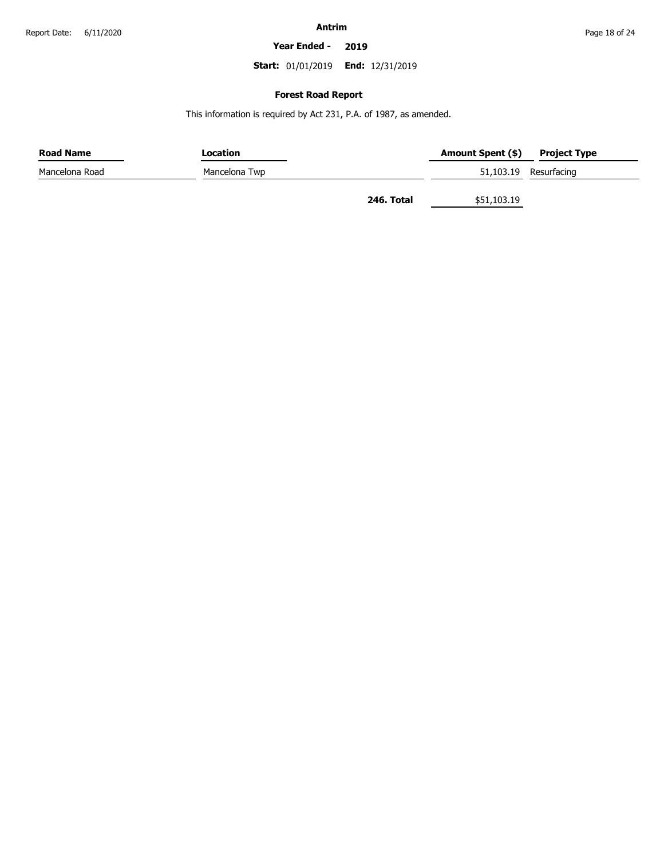**Year Ended - 2019**

**Start:** 01/01/2019 **End:** 12/31/2019

### **Forest Road Report**

This information is required by Act 231, P.A. of 1987, as amended.

| <b>Road Name</b> | Location      |            | Amount Spent (\$) | <b>Project Type</b>   |
|------------------|---------------|------------|-------------------|-----------------------|
| Mancelona Road   | Mancelona Twp |            |                   | 51,103.19 Resurfacing |
|                  |               | 246. Total | \$51,103.19       |                       |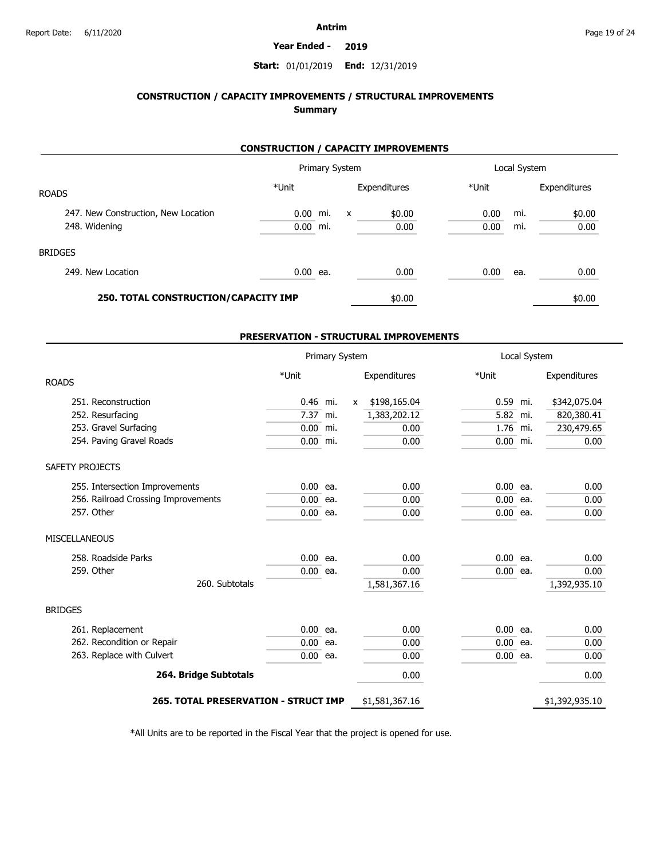#### **Year Ended - 2019**

### **Start:** 01/01/2019 **End:** 12/31/2019

### **CONSTRUCTION / CAPACITY IMPROVEMENTS / STRUCTURAL IMPROVEMENTS Summary**

### **CONSTRUCTION / CAPACITY IMPROVEMENTS**

|                                      | Primary System |     |                           |              | Local System |     |              |
|--------------------------------------|----------------|-----|---------------------------|--------------|--------------|-----|--------------|
| <b>ROADS</b>                         | *Unit          |     |                           | Expenditures | *Unit        |     | Expenditures |
| 247. New Construction, New Location  | 0.00           | mi. | $\boldsymbol{\mathsf{x}}$ | \$0.00       | 0.00         | mi. | \$0.00       |
| 248. Widening                        | 0.00           | mi. |                           | 0.00         | 0.00         | mi. | 0.00         |
| <b>BRIDGES</b>                       |                |     |                           |              |              |     |              |
| 249. New Location                    | $0.00$ ea.     |     |                           | 0.00         | 0.00         | ea. | 0.00         |
| 250. TOTAL CONSTRUCTION/CAPACITY IMP |                |     |                           | \$0.00       |              |     | \$0.00       |

### **PRESERVATION - STRUCTURAL IMPROVEMENTS**

| Primary System                              |            | Local System |   |                |            |  |                |
|---------------------------------------------|------------|--------------|---|----------------|------------|--|----------------|
| <b>ROADS</b>                                | *Unit      |              |   | Expenditures   | *Unit      |  | Expenditures   |
| 251. Reconstruction                         | 0.46 mi.   |              | X | \$198,165.04   | 0.59 mi.   |  | \$342,075.04   |
| 252. Resurfacing                            | 7.37 mi.   |              |   | 1,383,202.12   | 5.82 mi.   |  | 820,380.41     |
| 253. Gravel Surfacing                       | 0.00       | mi.          |   | 0.00           | 1.76 mi.   |  | 230,479.65     |
| 254. Paving Gravel Roads                    | $0.00$ mi. |              |   | 0.00           | $0.00$ mi. |  | 0.00           |
| SAFETY PROJECTS                             |            |              |   |                |            |  |                |
| 255. Intersection Improvements              | $0.00$ ea. |              |   | 0.00           | $0.00$ ea. |  | 0.00           |
| 256. Railroad Crossing Improvements         | $0.00$ ea. |              |   | 0.00           | $0.00$ ea. |  | 0.00           |
| 257. Other                                  | $0.00$ ea. |              |   | 0.00           | $0.00$ ea. |  | 0.00           |
| <b>MISCELLANEOUS</b>                        |            |              |   |                |            |  |                |
| 258. Roadside Parks                         | 0.00       | ea.          |   | 0.00           | $0.00$ ea. |  | 0.00           |
| 259. Other                                  | $0.00$ ea. |              |   | 0.00           | $0.00$ ea. |  | 0.00           |
| 260. Subtotals                              |            |              |   | 1,581,367.16   |            |  | 1,392,935.10   |
| <b>BRIDGES</b>                              |            |              |   |                |            |  |                |
| 261. Replacement                            | $0.00$ ea. |              |   | 0.00           | $0.00$ ea. |  | 0.00           |
| 262. Recondition or Repair                  | $0.00$ ea. |              |   | 0.00           | $0.00$ ea. |  | 0.00           |
| 263. Replace with Culvert                   | $0.00$ ea. |              |   | 0.00           | $0.00$ ea. |  | 0.00           |
| 264. Bridge Subtotals                       |            |              |   | 0.00           |            |  | 0.00           |
| <b>265. TOTAL PRESERVATION - STRUCT IMP</b> |            |              |   | \$1,581,367.16 |            |  | \$1,392,935.10 |

\*All Units are to be reported in the Fiscal Year that the project is opened for use.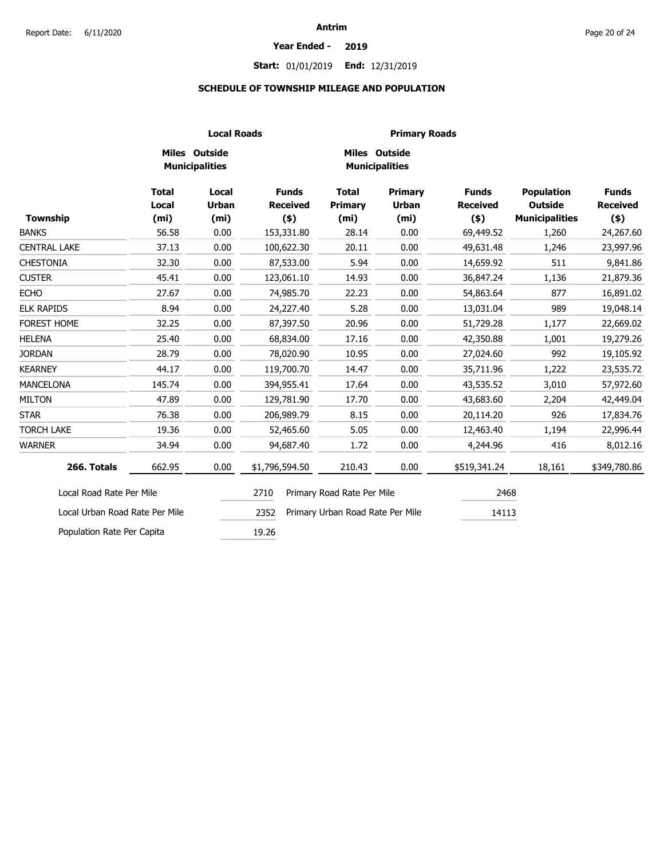#### **Year Ended - 2019**

### **Start:** 01/01/2019 **End:** 12/31/2019

### **SCHEDULE OF TOWNSHIP MILEAGE AND POPULATION**

|                                | <b>Local Roads</b>                         |                                            |                                            |                                              | <b>Primary Roads</b>                                |                                            |                                                              |                                            |
|--------------------------------|--------------------------------------------|--------------------------------------------|--------------------------------------------|----------------------------------------------|-----------------------------------------------------|--------------------------------------------|--------------------------------------------------------------|--------------------------------------------|
|                                |                                            | Miles Outside<br><b>Municipalities</b>     |                                            |                                              | Miles Outside<br><b>Municipalities</b>              |                                            |                                                              |                                            |
| <b>Township</b>                | <b>Total</b><br>Local<br>(m <sub>i</sub> ) | Local<br><b>Urban</b><br>(m <sub>i</sub> ) | <b>Funds</b><br><b>Received</b><br>$($ \$) | <b>Total</b><br>Primary<br>(m <sub>i</sub> ) | <b>Primary</b><br><b>Urban</b><br>(m <sub>i</sub> ) | <b>Funds</b><br><b>Received</b><br>$($ \$) | <b>Population</b><br><b>Outside</b><br><b>Municipalities</b> | <b>Funds</b><br><b>Received</b><br>$($ \$) |
| <b>BANKS</b>                   | 56.58                                      | 0.00                                       | 153,331.80                                 | 28.14                                        | 0.00                                                | 69,449.52                                  | 1,260                                                        | 24,267.60                                  |
| <b>CENTRAL LAKE</b>            | 37.13                                      | 0.00                                       | 100,622.30                                 | 20.11                                        | 0.00                                                | 49,631.48                                  | 1,246                                                        | 23,997.96                                  |
| <b>CHESTONIA</b>               | 32.30                                      | 0.00                                       | 87,533.00                                  | 5.94                                         | 0.00                                                | 14,659.92                                  | 511                                                          | 9,841.86                                   |
| <b>CUSTER</b>                  | 45.41                                      | 0.00                                       | 123,061.10                                 | 14.93                                        | 0.00                                                | 36,847.24                                  | 1,136                                                        | 21,879.36                                  |
| <b>ECHO</b>                    | 27.67                                      | 0.00                                       | 74,985.70                                  | 22.23                                        | 0.00                                                | 54,863.64                                  | 877                                                          | 16,891.02                                  |
| <b>ELK RAPIDS</b>              | 8.94                                       | 0.00                                       | 24,227.40                                  | 5.28                                         | 0.00                                                | 13,031.04                                  | 989                                                          | 19,048.14                                  |
| <b>FOREST HOME</b>             | 32.25                                      | 0.00                                       | 87,397.50                                  | 20.96                                        | 0.00                                                | 51,729.28                                  | 1,177                                                        | 22,669.02                                  |
| <b>HELENA</b>                  | 25.40                                      | 0.00                                       | 68,834.00                                  | 17.16                                        | 0.00                                                | 42,350.88                                  | 1,001                                                        | 19,279.26                                  |
| <b>JORDAN</b>                  | 28.79                                      | 0.00                                       | 78,020.90                                  | 10.95                                        | 0.00                                                | 27,024.60                                  | 992                                                          | 19,105.92                                  |
| <b>KEARNEY</b>                 | 44.17                                      | 0.00                                       | 119,700.70                                 | 14.47                                        | 0.00                                                | 35,711.96                                  | 1,222                                                        | 23,535.72                                  |
| <b>MANCELONA</b>               | 145.74                                     | 0.00                                       | 394,955.41                                 | 17.64                                        | 0.00                                                | 43,535.52                                  | 3,010                                                        | 57,972.60                                  |
| <b>MILTON</b>                  | 47.89                                      | 0.00                                       | 129,781.90                                 | 17.70                                        | 0.00                                                | 43,683.60                                  | 2,204                                                        | 42,449.04                                  |
| <b>STAR</b>                    | 76.38                                      | 0.00                                       | 206,989.79                                 | 8.15                                         | 0.00                                                | 20,114.20                                  | 926                                                          | 17,834.76                                  |
| <b>TORCH LAKE</b>              | 19.36                                      | 0.00                                       | 52,465.60                                  | 5.05                                         | 0.00                                                | 12,463.40                                  | 1,194                                                        | 22,996.44                                  |
| <b>WARNER</b>                  | 34.94                                      | 0.00                                       | 94,687.40                                  | 1.72                                         | 0.00                                                | 4,244.96                                   | 416                                                          | 8,012.16                                   |
| 266. Totals                    | 662.95                                     | 0.00                                       | \$1,796,594.50                             | 210.43                                       | 0.00                                                | \$519,341.24                               | 18,161                                                       | \$349,780.86                               |
| Local Road Rate Per Mile       |                                            |                                            | 2710                                       | Primary Road Rate Per Mile                   |                                                     | 2468                                       |                                                              |                                            |
| Local Urban Road Rate Per Mile |                                            |                                            | 2352                                       | Primary Urban Road Rate Per Mile             |                                                     | 14113                                      |                                                              |                                            |
| Population Rate Per Capita     |                                            |                                            | 19.26                                      |                                              |                                                     |                                            |                                                              |                                            |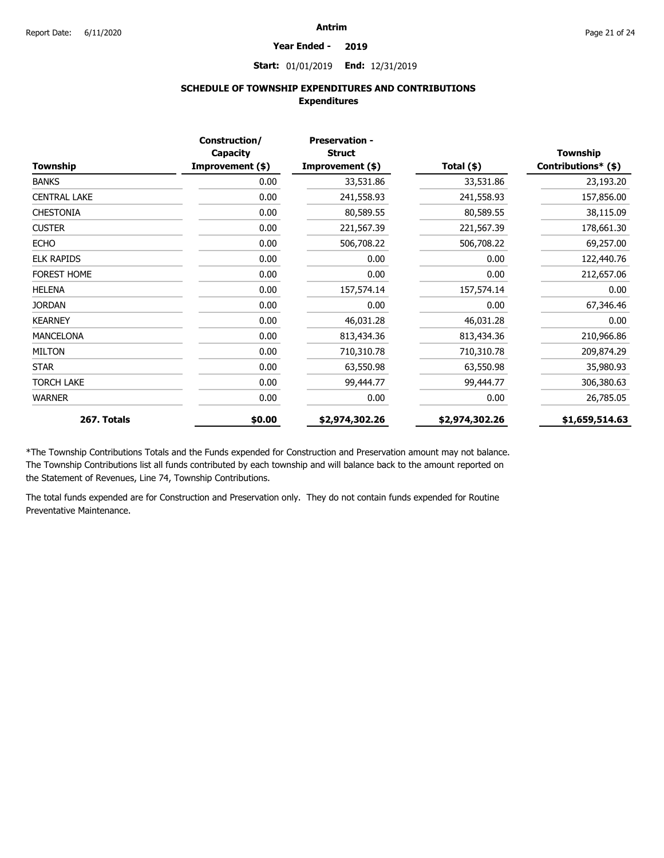#### **Year Ended - 2019**

**Start:** 01/01/2019 **End:** 12/31/2019

### **SCHEDULE OF TOWNSHIP EXPENDITURES AND CONTRIBUTIONS Expenditures**

| Township            | Construction/<br>Capacity<br>Improvement (\$) | <b>Preservation -</b><br><b>Struct</b><br>Improvement (\$) | Total (\$)     | <b>Township</b><br>Contributions* (\$) |
|---------------------|-----------------------------------------------|------------------------------------------------------------|----------------|----------------------------------------|
| <b>BANKS</b>        | 0.00                                          | 33,531.86                                                  | 33,531.86      | 23,193.20                              |
| <b>CENTRAL LAKE</b> | 0.00                                          | 241,558.93                                                 | 241,558.93     | 157,856.00                             |
| <b>CHESTONIA</b>    | 0.00                                          | 80,589.55                                                  | 80,589.55      | 38,115.09                              |
| <b>CUSTER</b>       | 0.00                                          | 221,567.39                                                 | 221,567.39     | 178,661.30                             |
| <b>ECHO</b>         | 0.00                                          | 506,708.22                                                 | 506,708.22     | 69,257.00                              |
| <b>ELK RAPIDS</b>   | 0.00                                          | 0.00                                                       | 0.00           | 122,440.76                             |
| <b>FOREST HOME</b>  | 0.00                                          | 0.00                                                       | 0.00           | 212,657.06                             |
| <b>HELENA</b>       | 0.00                                          | 157,574.14                                                 | 157,574.14     | 0.00                                   |
| <b>JORDAN</b>       | 0.00                                          | 0.00                                                       | 0.00           | 67,346.46                              |
| <b>KEARNEY</b>      | 0.00                                          | 46,031.28                                                  | 46,031.28      | 0.00                                   |
| <b>MANCELONA</b>    | 0.00                                          | 813,434.36                                                 | 813,434.36     | 210,966.86                             |
| <b>MILTON</b>       | 0.00                                          | 710,310.78                                                 | 710,310.78     | 209,874.29                             |
| <b>STAR</b>         | 0.00                                          | 63,550.98                                                  | 63,550.98      | 35,980.93                              |
| <b>TORCH LAKE</b>   | 0.00                                          | 99,444.77                                                  | 99,444.77      | 306,380.63                             |
| <b>WARNER</b>       | 0.00                                          | 0.00                                                       | 0.00           | 26,785.05                              |
| 267. Totals         | \$0.00                                        | \$2,974,302.26                                             | \$2,974,302.26 | \$1,659,514.63                         |

\*The Township Contributions Totals and the Funds expended for Construction and Preservation amount may not balance. The Township Contributions list all funds contributed by each township and will balance back to the amount reported on the Statement of Revenues, Line 74, Township Contributions.

The total funds expended are for Construction and Preservation only. They do not contain funds expended for Routine Preventative Maintenance.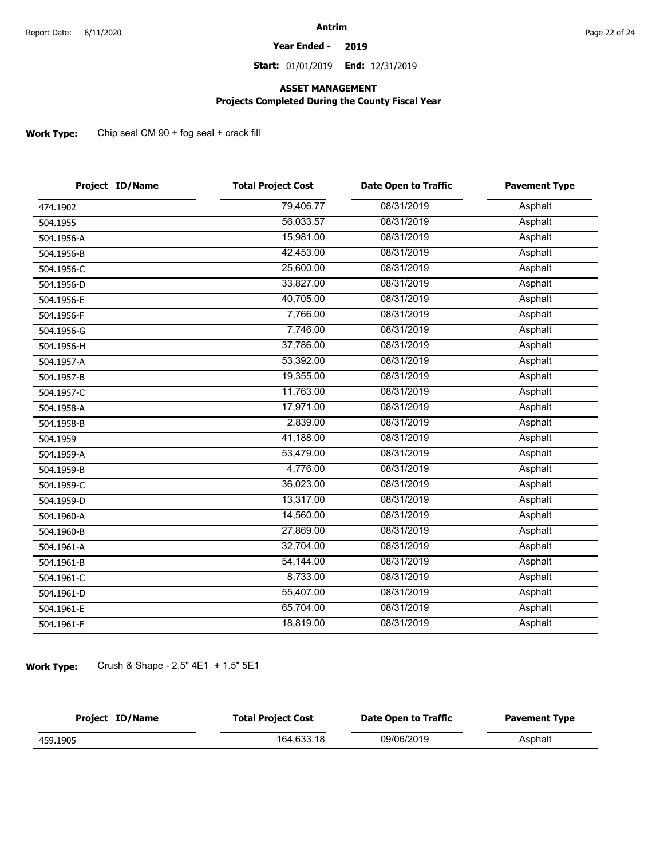#### **Year Ended - 2019**

**Start:** 01/01/2019 **End:** 12/31/2019

### **ASSET MANAGEMENT**

### **Projects Completed During the County Fiscal Year**

**Work Type:** Chip seal CM 90 + fog seal + crack fill

| Project ID/Name | <b>Total Project Cost</b> | <b>Date Open to Traffic</b> | <b>Pavement Type</b> |
|-----------------|---------------------------|-----------------------------|----------------------|
| 474.1902        | 79,406.77                 | 08/31/2019                  | Asphalt              |
| 504.1955        | 56,033.57                 | 08/31/2019                  | Asphalt              |
| 504.1956-A      | 15,981.00                 | 08/31/2019                  | Asphalt              |
| 504.1956-B      | 42,453.00                 | 08/31/2019                  | Asphalt              |
| 504.1956-C      | 25,600.00                 | 08/31/2019                  | Asphalt              |
| 504.1956-D      | 33,827.00                 | 08/31/2019                  | Asphalt              |
| 504.1956-E      | 40,705.00                 | 08/31/2019                  | Asphalt              |
| 504.1956-F      | 7,766.00                  | 08/31/2019                  | Asphalt              |
| 504.1956-G      | 7,746.00                  | 08/31/2019                  | Asphalt              |
| 504.1956-H      | 37,786.00                 | 08/31/2019                  | Asphalt              |
| 504.1957-A      | 53,392.00                 | 08/31/2019                  | Asphalt              |
| 504.1957-B      | 19,355.00                 | 08/31/2019                  | Asphalt              |
| 504.1957-C      | 11,763.00                 | 08/31/2019                  | Asphalt              |
| 504.1958-A      | 17,971.00                 | 08/31/2019                  | Asphalt              |
| 504.1958-B      | 2,839.00                  | 08/31/2019                  | Asphalt              |
| 504.1959        | 41,188.00                 | 08/31/2019                  | Asphalt              |
| 504.1959-A      | 53,479.00                 | 08/31/2019                  | Asphalt              |
| 504.1959-B      | 4,776.00                  | 08/31/2019                  | Asphalt              |
| 504.1959-C      | 36,023.00                 | 08/31/2019                  | Asphalt              |
| 504.1959-D      | 13,317.00                 | 08/31/2019                  | Asphalt              |
| 504.1960-A      | 14,560.00                 | 08/31/2019                  | Asphalt              |
| 504.1960-B      | 27,869.00                 | 08/31/2019                  | Asphalt              |
| 504.1961-A      | 32,704.00                 | 08/31/2019                  | Asphalt              |
| 504.1961-B      | 54,144.00                 | 08/31/2019                  | Asphalt              |
| 504.1961-C      | 8,733.00                  | 08/31/2019                  | Asphalt              |
| 504.1961-D      | 55,407.00                 | 08/31/2019                  | Asphalt              |
| 504.1961-E      | 65,704.00                 | 08/31/2019                  | Asphalt              |
| 504.1961-F      | 18,819.00                 | 08/31/2019                  | Asphalt              |
|                 |                           |                             |                      |

**Work Type:** Crush & Shape - 2.5" 4E1 + 1.5" 5E1

| Project ID/Name | <b>Total Project Cost</b> | Date Open to Traffic | <b>Pavement Type</b> |
|-----------------|---------------------------|----------------------|----------------------|
| 459.1905        | 164.633.18                | 09/06/2019           | Asphalt              |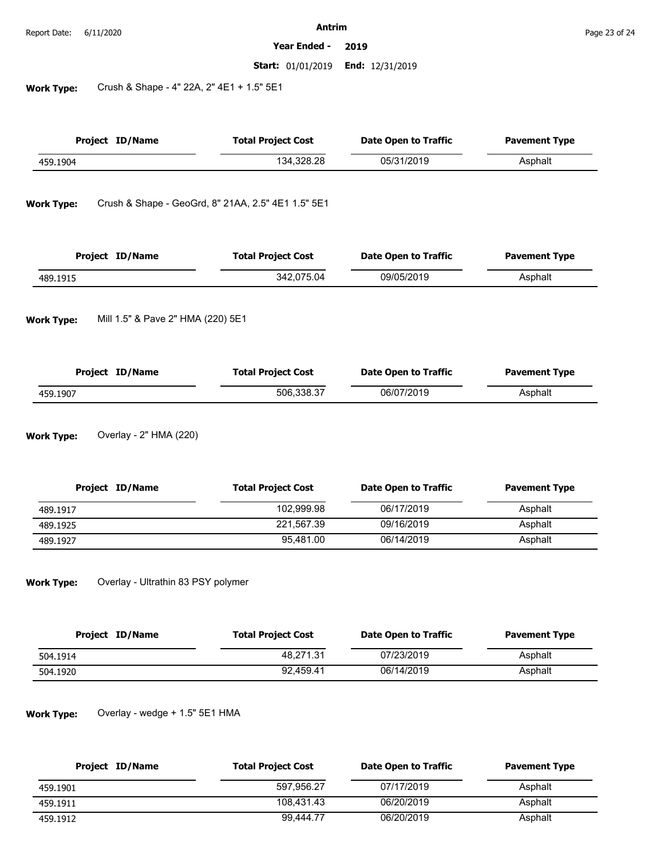#### **Year Ended - 2019**

**Start:** 01/01/2019 **End:** 12/31/2019

**Work Type:** Crush & Shape - 4" 22A, 2" 4E1 + 1.5" 5E1

| <b>Project ID/Name</b> |  | <b>Total Project Cost</b>                          | <b>Date Open to Traffic</b> | <b>Pavement Type</b> |  |
|------------------------|--|----------------------------------------------------|-----------------------------|----------------------|--|
| 459.1904               |  | 134,328.28                                         | 05/31/2019                  | Asphalt              |  |
| <b>Work Type:</b>      |  | Crush & Shape - GeoGrd, 8" 21AA, 2.5" 4E1 1.5" 5E1 |                             |                      |  |
|                        |  |                                                    |                             |                      |  |

| Project ID/Name | <b>Total Project Cost</b> | <b>Date Open to Traffic</b> | <b>Pavement Type</b> |
|-----------------|---------------------------|-----------------------------|----------------------|
| 489.1915        | 342.075.04                | 09/05/2019                  | Asphalt              |

**Work Type:** Mill 1.5" & Pave 2" HMA (220) 5E1

| Project ID/Name | <b>Total Project Cost</b> | Date Open to Traffic | <b>Pavement Type</b> |
|-----------------|---------------------------|----------------------|----------------------|
| 459.1907        | 506.338.37                | 06/07/2019           | Asphalt              |

**Work Type:** Overlay - 2" HMA (220)

| Project ID/Name | <b>Total Project Cost</b> | Date Open to Traffic | <b>Pavement Type</b> |
|-----------------|---------------------------|----------------------|----------------------|
| 489.1917        | 102.999.98                | 06/17/2019           | Asphalt              |
| 489.1925        | 221.567.39                | 09/16/2019           | Asphalt              |
| 489.1927        | 95.481.00                 | 06/14/2019           | Asphalt              |

**Work Type:** Overlay - Ultrathin 83 PSY polymer

| Project ID/Name | <b>Total Project Cost</b> | Date Open to Traffic | <b>Pavement Type</b> |
|-----------------|---------------------------|----------------------|----------------------|
| 504.1914        | 48.271.31                 | 07/23/2019           | Asphalt              |
| 504.1920        | 92.459.41                 | 06/14/2019           | Asphalt              |

#### **Work Type:** Overlay - wedge + 1.5" 5E1 HMA

| Project ID/Name | <b>Total Project Cost</b> | Date Open to Traffic | <b>Pavement Type</b> |
|-----------------|---------------------------|----------------------|----------------------|
| 459.1901        | 597.956.27                | 07/17/2019           | Asphalt              |
| 459.1911        | 108.431.43                | 06/20/2019           | Asphalt              |
| 459.1912        | 99.444.77                 | 06/20/2019           | Asphalt              |